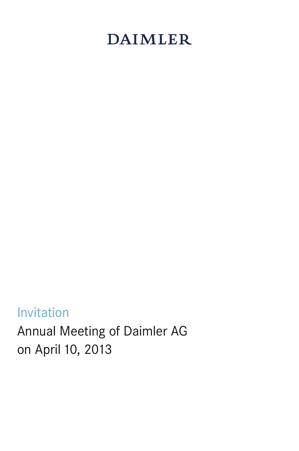# **DAIMLER**

## Invitation

Annual Meeting of Daimler AG on April 10, 2013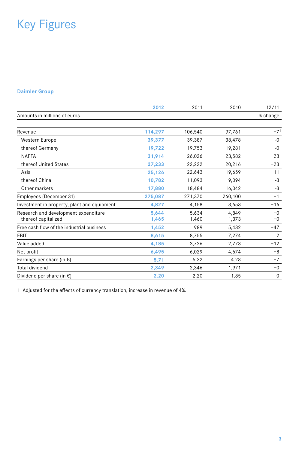## Key Figures

#### **Daimler Group**

|                                                             | 2012           | 2011           | 2010           | 12/11        |
|-------------------------------------------------------------|----------------|----------------|----------------|--------------|
| Amounts in millions of euros                                |                |                |                | % change     |
| Revenue                                                     | 114,297        | 106,540        | 97,761         | $+71$        |
| Western Europe                                              | 39,377         | 39,387         | 38,478         | $-0$         |
| thereof Germany                                             | 19,722         | 19,753         | 19,281         | $-0$         |
| <b>NAFTA</b>                                                | 31,914         | 26,026         | 23,582         | $+23$        |
| thereof United States                                       | 27,233         | 22,222         | 20,216         | $+23$        |
| Asia                                                        | 25,126         | 22,643         | 19,659         | $+11$        |
| thereof China                                               | 10,782         | 11,093         | 9,094          | $-3$         |
| Other markets                                               | 17,880         | 18,484         | 16,042         | -3           |
| Employees (December 31)                                     | 275,087        | 271,370        | 260,100        | $+1$         |
| Investment in property, plant and equipment                 | 4,827          | 4,158          | 3,653          | $+16$        |
| Research and development expenditure<br>thereof capitalized | 5,644<br>1,465 | 5.634<br>1,460 | 4.849<br>1,373 | $+0$<br>$+0$ |
| Free cash flow of the industrial business                   | 1,452          | 989            | 5,432          | $+47$        |
| EBIT                                                        | 8,615          | 8,755          | 7,274          | $-2$         |
| Value added                                                 | 4,185          | 3,726          | 2,773          | $+12$        |
| Net profit                                                  | 6,495          | 6,029          | 4,674          | $+8$         |
| Earnings per share (in $\epsilon$ )                         | 5.71           | 5.32           | 4.28           | $+7$         |
| <b>Total dividend</b>                                       | 2,349          | 2,346          | 1,971          | $+0$         |
| Dividend per share (in $\epsilon$ )                         | 2.20           | 2.20           | 1.85           | $\mathbf 0$  |

1 Adjusted for the effects of currency translation, increase in revenue of 4%.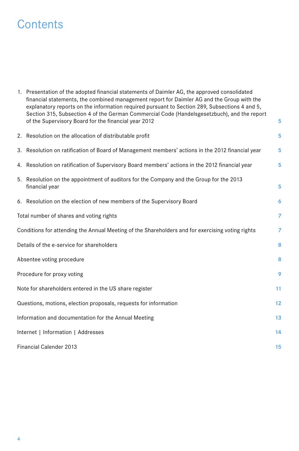### **Contents**

| 1. Presentation of the adopted financial statements of Daimler AG, the approved consolidated<br>financial statements, the combined management report for Daimler AG and the Group with the<br>explanatory reports on the information required pursuant to Section 289, Subsections 4 and 5,<br>Section 315, Subsection 4 of the German Commercial Code (Handelsgesetzbuch), and the report<br>of the Supervisory Board for the financial year 2012 | 5              |  |  |
|----------------------------------------------------------------------------------------------------------------------------------------------------------------------------------------------------------------------------------------------------------------------------------------------------------------------------------------------------------------------------------------------------------------------------------------------------|----------------|--|--|
|                                                                                                                                                                                                                                                                                                                                                                                                                                                    |                |  |  |
| 2. Resolution on the allocation of distributable profit                                                                                                                                                                                                                                                                                                                                                                                            | 5              |  |  |
| 3. Resolution on ratification of Board of Management members' actions in the 2012 financial year                                                                                                                                                                                                                                                                                                                                                   | 5              |  |  |
| 4. Resolution on ratification of Supervisory Board members' actions in the 2012 financial year                                                                                                                                                                                                                                                                                                                                                     | 5              |  |  |
| 5. Resolution on the appointment of auditors for the Company and the Group for the 2013<br>financial year                                                                                                                                                                                                                                                                                                                                          | 5              |  |  |
| 6. Resolution on the election of new members of the Supervisory Board                                                                                                                                                                                                                                                                                                                                                                              | 6              |  |  |
| Total number of shares and voting rights                                                                                                                                                                                                                                                                                                                                                                                                           | $\overline{7}$ |  |  |
| Conditions for attending the Annual Meeting of the Shareholders and for exercising voting rights                                                                                                                                                                                                                                                                                                                                                   | 7              |  |  |
| Details of the e-service for shareholders                                                                                                                                                                                                                                                                                                                                                                                                          | 8              |  |  |
| Absentee voting procedure                                                                                                                                                                                                                                                                                                                                                                                                                          | 8              |  |  |
| Procedure for proxy voting                                                                                                                                                                                                                                                                                                                                                                                                                         | 9              |  |  |
| Note for shareholders entered in the US share register                                                                                                                                                                                                                                                                                                                                                                                             | 11             |  |  |
| Questions, motions, election proposals, requests for information                                                                                                                                                                                                                                                                                                                                                                                   | 12             |  |  |
| Information and documentation for the Annual Meeting                                                                                                                                                                                                                                                                                                                                                                                               | 13             |  |  |
| Internet   Information   Addresses                                                                                                                                                                                                                                                                                                                                                                                                                 | 14             |  |  |
| <b>Financial Calender 2013</b>                                                                                                                                                                                                                                                                                                                                                                                                                     |                |  |  |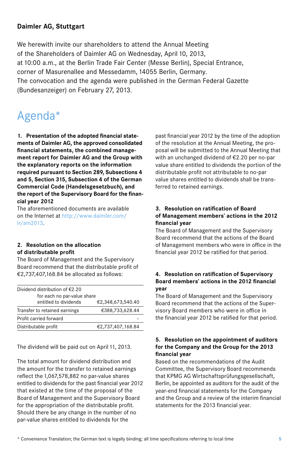#### **Daimler AG, Stuttgart**

We herewith invite our shareholders to attend the Annual Meeting of the Shareholders of Daimler AG on Wednesday, April 10, 2013, at 10:00 a.m., at the Berlin Trade Fair Center (Messe Berlin), Special Entrance, corner of Masurenallee and Messedamm,14055 Berlin, Germany. The convocation and the agenda were published in the German Federal Gazette (Bundesanzeiger) on February 27, 2013.

## Agenda\*

**1. Presentation of the adopted financial statements of Daimler AG, the approved consolidated financial statements, the combined management report for Daimler AG and the Group with the explanatory reports on the information required pursuant to Section 289, Subsections 4 and 5, Section 315, Subsection 4 of the German Commercial Code (Handelsgesetzbuch), and the report of the Supervisory Board for the financial year 2012**

The aforementioned documents are available on the Internet at http://www.daimler.com/ ir/am2013.

#### **2. Resolution on the allocation of distributable profit**

The Board of Management and the Supervisory Board recommend that the distributable profit of €2,737,407,168.84 be allocated as follows:

| Dividend distribution of $E$ 2.20                    |                   |  |  |
|------------------------------------------------------|-------------------|--|--|
| for each no par-value share<br>entitled to dividends | €2,348,673,540.40 |  |  |
| Transfer to retained earnings                        | €388,733,628.44   |  |  |
| Profit carried forward                               |                   |  |  |
| Distributable profit                                 | €2,737,407,168.84 |  |  |

The dividend will be paid out on April 11, 2013.

The total amount for dividend distribution and the amount for the transfer to retained earnings reflect the 1,067,578,882 no par-value shares entitled to dividends for the past financial year 2012 that existed at the time of the proposal of the Board of Management and the Supervisory Board for the appropriation of the distributable profit. Should there be any change in the number of no par-value shares entitled to dividends for the

past financial year 2012 by the time of the adoption of the resolution at the Annual Meeting, the proposal will be submitted to the Annual Meeting that with an unchanged dividend of €2.20 per no-par value share entitled to dividends the portion of the distributable profit not attributable to no-par value shares entitled to dividends shall be transferred to retained earnings.

#### **3. Resolution on ratification of Board of Management members' actions in the 2012 financial year**

The Board of Management and the Supervisory Board recommend that the actions of the Board of Management members who were in office in the financial year 2012 be ratified for that period.

#### **4. Resolution on ratification of Supervisory Board members' actions in the 2012 financial year**

The Board of Management and the Supervisory Board recommend that the actions of the Supervisory Board members who were in office in the financial year 2012 be ratified for that period.

#### **5. Resolution on the appointment of auditors for the Company and the Group for the 2013 financial year**

Based on the recommendations of the Audit Committee, the Supervisory Board recommends that KPMG AG Wirtschaftsprüfungsgesellschaft, Berlin, be appointed as auditors for the audit of the year-end financial statements for the Company and the Group and a review of the interim financial statements for the 2013 financial year.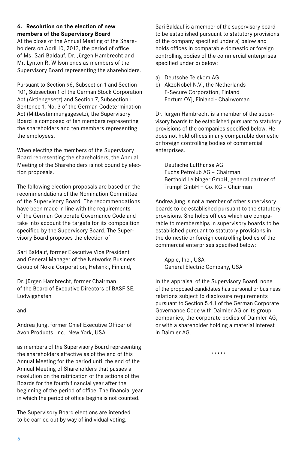#### **6. Resolution on the election of new members of the Supervisory Board**

At the close of the Annual Meeting of the Shareholders on April 10, 2013, the period of office of Ms. Sari Baldauf, Dr. Jürgen Hambrecht and Mr. Lynton R. Wilson ends as members of the Supervisory Board representing the shareholders.

Pursuant to Section 96, Subsection 1 and Section 101, Subsection 1 of the German Stock Corporation Act (Aktiengesetz) and Section 7, Subsection 1, Sentence1, No. 3 of the German Codetermination Act (Mitbestimmungsgesetz), the Supervisory Board is composed of ten members representing the shareholders and ten members representing the employees.

When electing the members of the Supervisory Board representing the shareholders, the Annual Meeting of the Shareholders is not bound by election proposals.

The following election proposals are based on the recommendations of the Nomination Committee of the Supervisory Board. The recommendations have been made in line with the requirements of the German Corporate Governance Code and take into account the targets for its composition specified by the Supervisory Board. The Supervisory Board proposes the election of

Sari Baldauf, former Executive Vice President and General Manager of the Networks Business Group of Nokia Corporation, Helsinki, Finland,

Dr. Jürgen Hambrecht, former Chairman of the Board of Executive Directors of BASF SE, Ludwigshafen

and

Andrea Jung, former Chief Executive Officer of Avon Products, Inc., New York, USA

as members of the Supervisory Board representing the shareholders effective as of the end of this Annual Meeting for the period until the end of the Annual Meeting of Shareholders that passes a resolution on the ratification of the actions of the Boards for the fourth financial year after the beginning of the period of office. The financial year in which the period of office begins is not counted.

The Supervisory Board elections are intended to be carried out by way of individual voting.

Sari Baldauf is a member of the supervisory board to be established pursuant to statutory provisions of the company specified under a) below and holds offices in comparable domestic or foreign controlling bodies of the commercial enterprises specified under b) below:

- a) Deutsche Telekom AG
- b) AkzoNobel N.V., the Netherlands F-Secure Corporation, Finland Fortum OYj, Finland - Chairwoman

Dr. Jürgen Hambrecht is a member of the supervisory boards to be established pursuant to statutory provisions of the companies specified below. He does not hold offices in any comparable domestic or foreign controlling bodies of commercial enterprises.

Deutsche Lufthansa AG Fuchs Petrolub AG – Chairman Berthold Leibinger GmbH, general partner of Trumpf GmbH + Co. KG – Chairman

Andrea Jung is not a member of other supervisory boards to be established pursuant to the statutory provisions. She holds offices which are comparable to memberships in supervisory boards to be established pursuant to statutory provisions in the domestic or foreign controlling bodies of the commercial enterprises specified below:

Apple, Inc., USA General Electric Company, USA

In the appraisal of the Supervisory Board, none of the proposed candidates has personal or business relations subject to disclosure requirements pursuant to Section 5.4.1 of the German Corporate Governance Code with Daimler AG or its group companies, the corporate bodies of Daimler AG, or with a shareholder holding a material interest in Daimler AG.

\*\*\*\*\*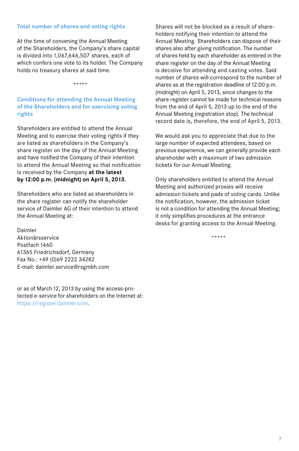#### **Total number of shares and voting rights**

At the time of convening the Annual Meeting of the Shareholders, the Company's share capital is divided into 1,067,646,507 shares, each of which confers one vote to its holder. The Company holds no treasury shares at said time.

\*\*\*\*\*

**Conditions for attending the Annual Meeting of the Shareholders and for exercising voting rights**

Shareholders are entitled to attend the Annual Meeting and to exercise their voting rights if they are listed as shareholders in the Company's share register on the day of the Annual Meeting and have notified the Company of their intention to attend the Annual Meeting so that notification is received by the Company **at the latest by 12:00 p.m. (midnight) on April 5, 2013.** 

Shareholders who are listed as shareholders in the share register can notify the shareholder service of Daimler AG of their intention to attend the Annual Meeting at:

Daimler Aktionärsservice Postfach 1460 61365 Friedrichsdorf, Germany Fax No.: +49 (0)69 2222 34282 E-mail: daimler.service@rsgmbh.com

or as of March 12, 2013 by using the access-protected e-service for shareholders on the Internet at: https://register.daimler.com.

Shares will not be blocked as a result of shareholders notifying their intention to attend the Annual Meeting. Shareholders can dispose of their shares also after giving notification. The number of shares held by each shareholder as entered in the share register on the day of the Annual Meeting is decisive for attending and casting votes. Said number of shares will correspond to the number of shares as at the registration deadline of 12:00 p.m. (midnight) on April 5, 2013, since changes to the share register cannot be made for technical reasons from the end of April 5, 2013 up to the end of the Annual Meeting (registration stop). The technical record date is, therefore, the end of April 5, 2013.

We would ask you to appreciate that due to the large number of expected attendees, based on previous experience, we can generally provide each shareholder with a maximum of two admission tickets for our Annual Meeting.

Only shareholders entitled to attend the Annual Meeting and authorized proxies will receive admission tickets and pads of voting cards. Unlike the notification, however, the admission ticket is not a condition for attending the Annual Meeting; it only simplifies procedures at the entrance desks for granting access to the Annual Meeting.

\*\*\*\*\*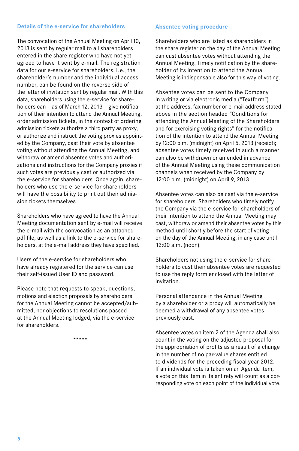#### **Details of the e-service for shareholders**

The convocation of the Annual Meeting on April 10, 2013 is sent by regular mail to all shareholders entered in the share register who have not yet agreed to have it sent by e-mail. The registration data for our e-service for shareholders, i. e., the shareholder's number and the individual access number, can be found on the reverse side of the letter of invitation sent by regular mail. With this data, shareholders using the e-service for shareholders can - as of March 12, 2013 - give notification of their intention to attend the Annual Meeting, order admission tickets, in the context of ordering admission tickets authorize a third party as proxy, or authorize and instruct the voting proxies appointed by the Company, cast their vote by absentee voting without attending the Annual Meeting, and withdraw or amend absentee votes and authorizations and instructions for the Company proxies if such votes are previously cast or authorized via the e-service for shareholders. Once again, shareholders who use the e-service for shareholders will have the possibility to print out their admission tickets themselves.

Shareholders who have agreed to have the Annual Meeting documentation sent by e-mail will receive the e-mail with the convocation as an attached pdf file, as well as a link to the e-service for shareholders, at the e-mail address they have specified.

Users of the e-service for shareholders who have already registered for the service can use their self-issued User ID and password.

Please note that requests to speak, questions, motions and election proposals by shareholders for the Annual Meeting cannot be accepted/submitted, nor objections to resolutions passed at the Annual Meeting lodged, via the e-service for shareholders.

\*\*\*\*\*

#### **Absentee voting procedure**

Shareholders who are listed as shareholders in the share register on the day of the Annual Meeting can cast absentee votes without attending the Annual Meeting. Timely notification by the shareholder of its intention to attend the Annual Meeting is indispensable also for this way of voting.

Absentee votes can be sent to the Company in writing or via electronic media ("Textform") at the address, fax number or e-mail address stated above in the section headed "Conditions for attending the Annual Meeting of the Shareholders and for exercising voting rights" for the notification of the intention to attend the Annual Meeting by12:00 p.m. (midnight) on April 5, 2013 (receipt); absentee votes timely received in such a manner can also be withdrawn or amended in advance of the Annual Meeting using these communication channels when received by the Company by 12:00 p.m. (midnight) on April 9, 2013.

Absentee votes can also be cast via the e-service for shareholders. Shareholders who timely notify the Company via the e-service for shareholders of their intention to attend the Annual Meeting may cast, withdraw or amend their absentee votes by this method until shortly before the start of voting on the day of the Annual Meeting, in any case until 12:00 a.m. (noon).

Shareholders not using the e-service for shareholders to cast their absentee votes are requested to use the reply form enclosed with the letter of invitation.

Personal attendance in the Annual Meeting by a shareholder or a proxy will automatically be deemed a withdrawal of any absentee votes previously cast.

Absentee votes on item 2 of the Agenda shall also count in the voting on the adjusted proposal for the appropriation of profits as a result of a change in the number of no par-value shares entitled to dividends for the preceding fiscal year 2012. If an individual vote is taken on an Agenda item, a vote on this item in its entirety will count as a corresponding vote on each point of the individual vote.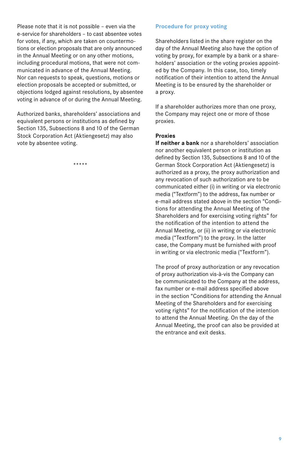Please note that it is not possible – even via the e-service for shareholders – to cast absentee votes for votes, if any, which are taken on countermotions or election proposals that are only announced in the Annual Meeting or on any other motions, including procedural motions, that were not communicated in advance of the Annual Meeting. Nor can requests to speak, questions, motions or election proposals be accepted or submitted, or objections lodged against resolutions, by absentee voting in advance of or during the Annual Meeting.

Authorized banks, shareholders' associations and equivalent persons or institutions as defined by Section 135, Subsections 8 and 10 of the German Stock Corporation Act (Aktiengesetz) may also vote by absentee voting.

\*\*\*\*\*

#### **Procedure for proxy voting**

Shareholders listed in the share register on the day of the Annual Meeting also have the option of voting by proxy, for example by a bank or a shareholders' association or the voting proxies appointed by the Company. In this case, too, timely notification of their intention to attend the Annual Meeting is to be ensured by the shareholder or a proxy.

If a shareholder authorizes more than one proxy, the Company may reject one or more of those proxies.

#### **Proxies**

**If neither a bank** nor a shareholders' association nor another equivalent person or institution as defined by Section 135, Subsections 8 and 10 of the German Stock Corporation Act (Aktiengesetz) is authorized as a proxy, the proxy authorization and any revocation of such authorization are to be communicated either (i) in writing or via electronic media ("Textform") to the address, fax number or e-mail address stated above in the section "Conditions for attending the Annual Meeting of the Shareholders and for exercising voting rights" for the notification of the intention to attend the Annual Meeting, or (ii) in writing or via electronic media ("Textform") to the proxy. In the latter case, the Company must be furnished with proof in writing or via electronic media ("Textform").

The proof of proxy authorization or any revocation of proxy authorization vis-à-vis the Company can be communicated to the Company at the address, fax number or e-mail address specified above in the section "Conditions for attending the Annual Meeting of the Shareholders and for exercising voting rights" for the notification of the intention to attend the Annual Meeting. On the day of the Annual Meeting, the proof can also be provided at the entrance and exit desks.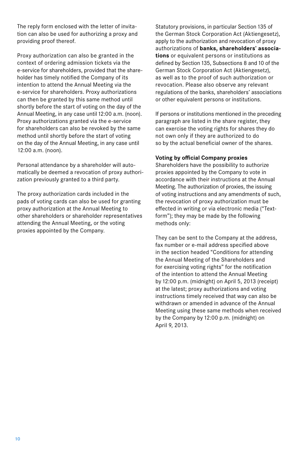The reply form enclosed with the letter of invitation can also be used for authorizing a proxy and providing proof thereof.

Proxy authorization can also be granted in the context of ordering admission tickets via the e-service for shareholders, provided that the shareholder has timely notified the Company of its intention to attend the Annual Meeting via the e-service for shareholders. Proxy authorizations can then be granted by this same method until shortly before the start of voting on the day of the Annual Meeting, in any case until 12:00 a.m. (noon). Proxy authorizations granted via the e-service for shareholders can also be revoked by the same method until shortly before the start of voting on the day of the Annual Meeting, in any case until 12:00 a.m. (noon).

Personal attendance by a shareholder will automatically be deemed a revocation of proxy authorization previously granted to a third party.

The proxy authorization cards included in the pads of voting cards can also be used for granting proxy authorization at the Annual Meeting to other shareholders or shareholder representatives attending the Annual Meeting, or the voting proxies appointed by the Company.

Statutory provisions, in particular Section 135 of the German Stock Corporation Act (Aktiengesetz), apply to the authorization and revocation of proxy authorizations of **banks, shareholders' associations** or equivalent persons or institutions as defined by Section 135, Subsections 8 and 10 of the German Stock Corporation Act (Aktiengesetz), as well as to the proof of such authorization or revocation. Please also observe any relevant regulations of the banks, shareholders' associations or other equivalent persons or institutions.

If persons or institutions mentioned in the preceding paragraph are listed in the share register, they can exercise the voting rights for shares they do not own only if they are authorized to do so by the actual beneficial owner of the shares.

#### **Voting by official Company proxies**

Shareholders have the possibility to authorize proxies appointed by the Company to vote in accordance with their instructions at the Annual Meeting. The authorization of proxies, the issuing of voting instructions and any amendments of such, the revocation of proxy authorization must be effected in writing or via electronic media ("Textform"); they may be made by the following methods only:

They can be sent to the Company at the address, fax number or e-mail address specified above in the section headed "Conditions for attending the Annual Meeting of the Shareholders and for exercising voting rights" for the notification of the intention to attend the Annual Meeting by12:00 p.m. (midnight) on April 5, 2013 (receipt) at the latest; proxy authorizations and voting instructions timely received that way can also be withdrawn or amended in advance of the Annual Meeting using these same methods when received by the Company by12:00 p.m. (midnight) on April 9, 2013.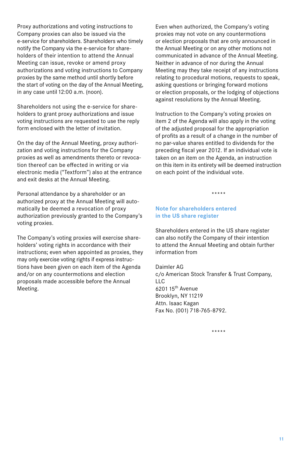Proxy authorizations and voting instructions to Company proxies can also be issued via the e-service for shareholders. Shareholders who timely notify the Company via the e-service for shareholders of their intention to attend the Annual Meeting can issue, revoke or amend proxy authorizations and voting instructions to Company proxies by the same method until shortly before the start of voting on the day of the Annual Meeting, in any case until 12:00 a.m. (noon).

Shareholders not using the e-service for shareholders to grant proxy authorizations and issue voting instructions are requested to use the reply form enclosed with the letter of invitation.

On the day of the Annual Meeting, proxy authorization and voting instructions for the Company proxies as well as amendments thereto or revocation thereof can be effected in writing or via electronic media ("Textform") also at the entrance and exit desks at the Annual Meeting.

Personal attendance by a shareholder or an authorized proxy at the Annual Meeting will automatically be deemed a revocation of proxy authorization previously granted to the Company's voting proxies.

The Company's voting proxies will exercise shareholders' voting rights in accordance with their instructions; even when appointed as proxies, they may only exercise voting rights if express instructions have been given on each item of the Agenda and/or on any countermotions and election proposals made accessible before the Annual Meeting.

Even when authorized, the Company's voting proxies may not vote on any countermotions or election proposals that are only announced in the Annual Meeting or on any other motions not communicated in advance of the Annual Meeting. Neither in advance of nor during the Annual Meeting may they take receipt of any instructions relating to procedural motions, requests to speak, asking questions or bringing forward motions or election proposals, or the lodging of objections against resolutions by the Annual Meeting.

Instruction to the Company's voting proxies on item 2 of the Agenda will also apply in the voting of the adjusted proposal for the appropriation of profits as a result of a change in the number of no par-value shares entitled to dividends for the preceding fiscal year 2012. If an individual vote is taken on an item on the Agenda, an instruction on this item in its entirety will be deemed instruction on each point of the individual vote.

\*\*\*\*\*

#### **Note for shareholders entered in the US share register**

Shareholders entered in the US share register can also notify the Company of their intention to attend the Annual Meeting and obtain further information from

Daimler AG c/o American Stock Transfer & Trust Company,  $\overline{L}$ 620115th Avenue Brooklyn, NY11219 Attn. Isaac Kagan Fax No. (001) 718-765-8792.

\*\*\*\*\*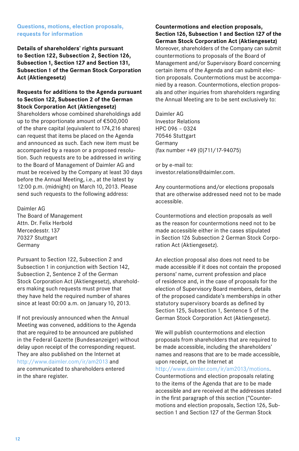#### **Questions, motions, election proposals, requests for information**

**Details of shareholders' rights pursuant to Section122, Subsection 2, Section126, Subsection1, Section127 and Section131, Subsection1 of the German Stock Corporation Act (Aktiengesetz)**

#### **Requests for additions to the Agenda pursuant to Section122, Subsection 2 of the German Stock Corporation Act (Aktiengesetz)**

Shareholders whose combined shareholdings add up to the proportionate amount of €500,000 of the share capital (equivalent to174,216 shares) can request that items be placed on the Agenda and announced as such. Each new item must be accompanied by a reason or a proposed resolution. Such requests are to be addressed in writing to the Board of Management of Daimler AG and must be received by the Company at least 30 days before the Annual Meeting, i.e., at the latest by 12:00 p.m. (midnight) on March 10, 2013. Please send such requests to the following address:

Daimler AG The Board of Management Attn. Dr. Felix Herbold Mercedesstr.137 70327 Stuttgart Germany

Pursuant to Section 122, Subsection 2 and Subsection 1 in conjunction with Section 142, Subsection 2, Sentence 2 of the German Stock Corporation Act (Aktiengesetz), shareholders making such requests must prove that they have held the required number of shares since at least 00:00 a.m. on January 10, 2013.

If not previously announced when the Annual Meeting was convened, additions to the Agenda that are required to be announced are published in the Federal Gazette (Bundesanzeiger) without delay upon receipt of the corresponding request. They are also published on the Internet at http://www.daimler.com/ir/am2013 and are communicated to shareholders entered in the share register.

#### **Countermotions and election proposals,**  Section 126, Subsection 1 and Section 127 of the **German Stock Corporation Act (Aktiengesetz)**

Moreover, shareholders of the Company can submit countermotions to proposals of the Board of Management and/or Supervisory Board concerning certain items of the Agenda and can submit election proposals. Countermotions must be accompanied by a reason. Countermotions, election proposals and other inquiries from shareholders regarding the Annual Meeting are to be sent exclusively to:

Daimler AG Investor Relations HPC 096 – 0324 70546 Stuttgart Germany (fax number +49 (0)711/17-94075)

or by e-mail to: investor.relations@daimler.com.

Any countermotions and/or elections proposals that are otherwise addressed need not to be made accessible.

Countermotions and election proposals as well as the reason for countermotions need not to be made accessible either in the cases stipulated in Section 126 Subsection 2 German Stock Corporation Act (Aktiengesetz).

An election proposal also does not need to be made accessible if it does not contain the proposed persons' name, current profession and place of residence and, in the case of proposals for the election of Supervisory Board members, details of the proposed candidate's memberships in other statutory supervisory boards as defined by Section 125, Subsection 1, Sentence 5 of the German Stock Corporation Act (Aktiengesetz).

We will publish countermotions and election proposals from shareholders that are required to be made accessible, including the shareholders' names and reasons that are to be made accessible, upon receipt, on the Internet at

http://www.daimler.com/ir/am2013/motions.

Countermotions and election proposals relating to the items of the Agenda that are to be made accessible and are received at the addresses stated in the first paragraph of this section ("Countermotions and election proposals, Section 126, Subsection 1 and Section 127 of the German Stock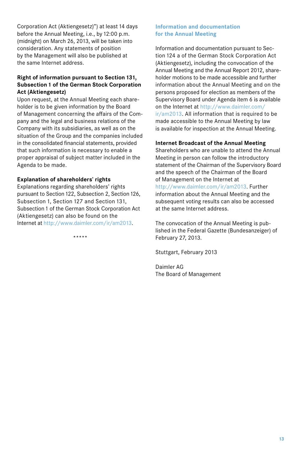Corporation Act (Aktiengesetz)") at least14 days before the Annual Meeting, i.e., by 12:00 p.m. (midnight) on March 26, 2013, will be taken into consideration. Any statements of position by the Management will also be published at the same Internet address.

#### **Right of information pursuant to Section131, Subsection1 of the German Stock Corporation Act (Aktiengesetz)**

Upon request, at the Annual Meeting each shareholder is to be given information by the Board of Management concerning the affairs of the Company and the legal and business relations of the Company with its subsidiaries, as well as on the situation of the Group and the companies included in the consolidated financial statements, provided that such information is necessary to enable a proper appraisal of subject matter included in the Agenda to be made.

#### **Explanation of shareholders' rights**

Explanations regarding shareholders' rights pursuant to Section 122, Subsection 2, Section 126, Subsection 1, Section 127 and Section 131, Subsection 1 of the German Stock Corporation Act (Aktiengesetz) can also be found on the Internet at http://www.daimler.com/ir/am2013.

\*\*\*\*\*

#### **Information and documentation for the Annual Meeting**

Information and documentation pursuant to Section 124 a of the German Stock Corporation Act (Aktiengesetz), including the convocation of the Annual Meeting and the Annual Report 2012, shareholder motions to be made accessible and further information about the Annual Meeting and on the persons proposed for election as members of the Supervisory Board under Agenda item 6 is available on the Internet at http://www.daimler.com/ ir/am2013. All information that is required to be made accessible to the Annual Meeting by law is available for inspection at the Annual Meeting.

#### **Internet Broadcast of the Annual Meeting**

Shareholders who are unable to attend the Annual Meeting in person can follow the introductory statement of the Chairman of the Supervisory Board and the speech of the Chairman of the Board of Management on the Internet at http://www.daimler.com/ir/am2013. Further information about the Annual Meeting and the subsequent voting results can also be accessed at the same Internet address.

The convocation of the Annual Meeting is published in the Federal Gazette (Bundesanzeiger) of February 27, 2013.

Stuttgart, February 2013

Daimler AG The Board of Management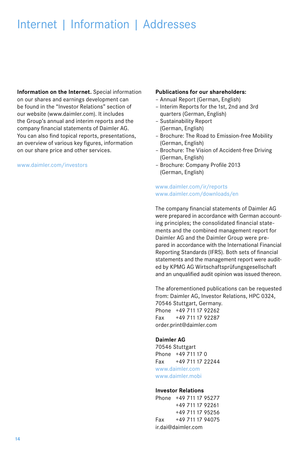## Internet | Information | Addresses

**Information on the Internet.** Special information on our shares and earnings development can be found in the "Investor Relations" section of our website (www.daimler.com). It includes the Group's annual and interim reports and the company financial statements of Daimler AG. You can also find topical reports, presentations, an overview of various key figures, information on our share price and other services.

#### www.daimler.com/investors

#### **Publications for our shareholders:**

- Annual Report (German, English)
- Interim Reports for the1st, 2nd and 3rd quarters (German, English)
- Sustainability Report (German, English)
- Brochure: The Road to Emission-free Mobility (German, English)
- Brochure: The Vision of Accident-free Driving (German, English)
- Brochure: Company Profile 2013 (German, English)

#### www.daimler.com/ir/reports www.daimler.com/downloads/en

The company financial statements of Daimler AG were prepared in accordance with German accounting principles; the consolidated financial statements and the combined management report for Daimler AG and the Daimler Group were prepared in accordance with the International Financial Reporting Standards (IFRS). Both sets of financial statements and the management report were audited by KPMG AG Wirtschaftsprüfungsgesellschaft and an unqualified audit opinion was issued thereon.

The aforementioned publications can be requested from: Daimler AG, Investor Relations, HPC 0324, 70546 Stuttgart, Germany. Phone +49 711 17 92262 Fax +49 71117 92287 order.print@daimler.com

#### **Daimler AG**

70546 Stuttgart Phone +49 711 17 0 Fax +49 711 17 22244 www.daimler.com www.daimler.mobi

#### **Investor Relations**

Phone +49 711 17 95277 +49 71117 92261 +49 71117 95256 Fax +49 71117 94075 ir.dai@daimler.com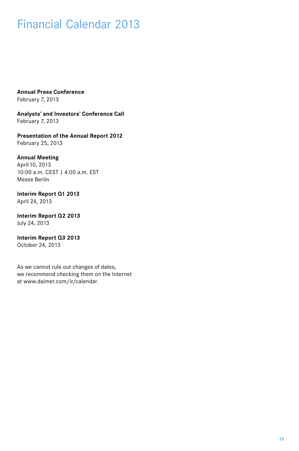## Financial Calendar 2013

**Annual Press Conference** February 7, 2013

**Analysts' and Investors' Conference Call** February 7, 2013

**Presentation of the Annual Report 2012** February 25, 2013

**Annual Meeting** April 10, 2013 10:00 a.m. CEST | 4:00 a.m. EST Messe Berlin

**Interim Report Q1 2013** April 24, 2013

**Interim Report Q2 2013** July 24, 2013

**Interim Report Q3 2013** October 24, 2013

As we cannot rule out changes of dates, we recommend checking them on the Internet at www.daimer.com/ir/calendar.